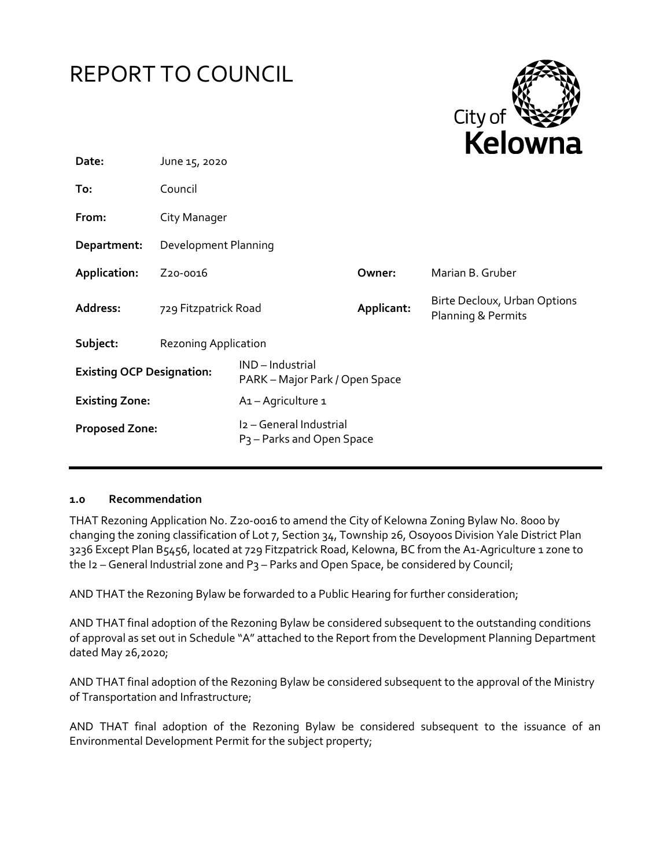



| Date:                            | June 15, 2020               |                                                                  |            | .                                                  |
|----------------------------------|-----------------------------|------------------------------------------------------------------|------------|----------------------------------------------------|
| To:                              | Council                     |                                                                  |            |                                                    |
| From:                            | City Manager                |                                                                  |            |                                                    |
| Department:                      | Development Planning        |                                                                  |            |                                                    |
| Application:                     | Z <sub>20</sub> -0016       |                                                                  | Owner:     | Marian B. Gruber                                   |
| Address:                         | 729 Fitzpatrick Road        |                                                                  | Applicant: | Birte Decloux, Urban Options<br>Planning & Permits |
| Subject:                         | <b>Rezoning Application</b> |                                                                  |            |                                                    |
| <b>Existing OCP Designation:</b> |                             | IND-Industrial<br>PARK – Major Park / Open Space                 |            |                                                    |
| <b>Existing Zone:</b>            |                             | A <sub>1</sub> - Agriculture 1                                   |            |                                                    |
| <b>Proposed Zone:</b>            |                             | I2 - General Industrial<br>P <sub>3</sub> – Parks and Open Space |            |                                                    |

#### **1.0 Recommendation**

THAT Rezoning Application No. Z20-0016 to amend the City of Kelowna Zoning Bylaw No. 8000 by changing the zoning classification of Lot 7, Section 34, Township 26, Osoyoos Division Yale District Plan 3236 Except Plan B5456, located at 729 Fitzpatrick Road, Kelowna, BC from the A1-Agriculture 1 zone to the I2 – General Industrial zone and P<sub>3</sub> – Parks and Open Space, be considered by Council;

AND THAT the Rezoning Bylaw be forwarded to a Public Hearing for further consideration;

AND THAT final adoption of the Rezoning Bylaw be considered subsequent to the outstanding conditions of approval as set out in Schedule "A" attached to the Report from the Development Planning Department dated May 26,2020;

AND THAT final adoption of the Rezoning Bylaw be considered subsequent to the approval of the Ministry of Transportation and Infrastructure;

AND THAT final adoption of the Rezoning Bylaw be considered subsequent to the issuance of an Environmental Development Permit for the subject property;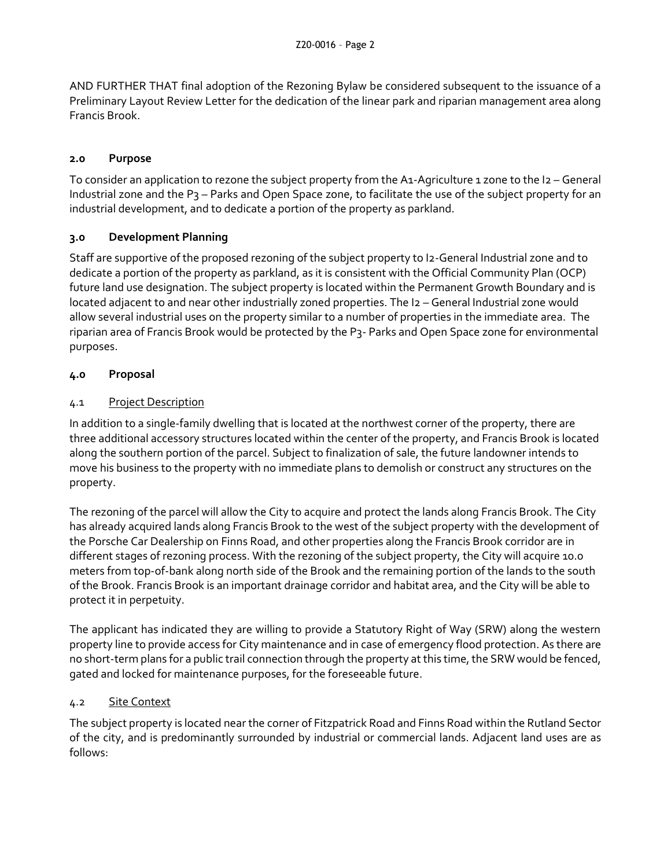AND FURTHER THAT final adoption of the Rezoning Bylaw be considered subsequent to the issuance of a Preliminary Layout Review Letter for the dedication of the linear park and riparian management area along Francis Brook.

## **2.0 Purpose**

To consider an application to rezone the subject property from the A1-Agriculture 1 zone to the I2 – General Industrial zone and the P3 – Parks and Open Space zone, to facilitate the use of the subject property for an industrial development, and to dedicate a portion of the property as parkland.

## **3.0 Development Planning**

Staff are supportive of the proposed rezoning of the subject property to I2-General Industrial zone and to dedicate a portion of the property as parkland, as it is consistent with the Official Community Plan (OCP) future land use designation. The subject property is located within the Permanent Growth Boundary and is located adjacent to and near other industrially zoned properties. The I2 – General Industrial zone would allow several industrial uses on the property similar to a number of properties in the immediate area. The riparian area of Francis Brook would be protected by the P3- Parks and Open Space zone for environmental purposes.

## **4.0 Proposal**

## 4.1 Project Description

In addition to a single-family dwelling that is located at the northwest corner of the property, there are three additional accessory structures located within the center of the property, and Francis Brook is located along the southern portion of the parcel. Subject to finalization of sale, the future landowner intends to move his business to the property with no immediate plans to demolish or construct any structures on the property.

The rezoning of the parcel will allow the City to acquire and protect the lands along Francis Brook. The City has already acquired lands along Francis Brook to the west of the subject property with the development of the Porsche Car Dealership on Finns Road, and other properties along the Francis Brook corridor are in different stages of rezoning process. With the rezoning of the subject property, the City will acquire 10.0 meters from top-of-bank along north side of the Brook and the remaining portion of the lands to the south of the Brook. Francis Brook is an important drainage corridor and habitat area, and the City will be able to protect it in perpetuity.

The applicant has indicated they are willing to provide a Statutory Right of Way (SRW) along the western property line to provide access for City maintenance and in case of emergency flood protection. As there are no short-term plans for a public trail connection through the property at this time, the SRW would be fenced, gated and locked for maintenance purposes, for the foreseeable future.

### 4.2 Site Context

The subject property is located near the corner of Fitzpatrick Road and Finns Road within the Rutland Sector of the city, and is predominantly surrounded by industrial or commercial lands. Adjacent land uses are as follows: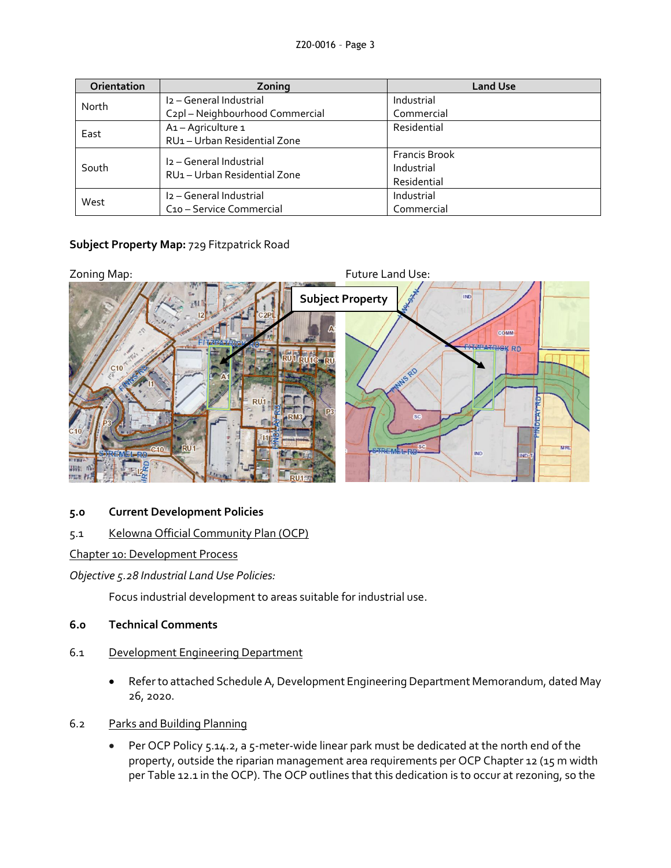| Orientation | Zoning                                       | <b>Land Use</b>      |
|-------------|----------------------------------------------|----------------------|
| North       | I <sub>2</sub> - General Industrial          | Industrial           |
|             | C <sub>2</sub> pl - Neighbourhood Commercial | Commercial           |
| East        | A1-Agriculture 1                             | Residential          |
|             | RU1 - Urban Residential Zone                 |                      |
| South       | I <sub>2</sub> - General Industrial          | <b>Francis Brook</b> |
|             | RU1 - Urban Residential Zone                 | Industrial           |
|             |                                              | Residential          |
| West        | I <sub>2</sub> - General Industrial          | Industrial           |
|             | C <sub>10</sub> – Service Commercial         | Commercial           |

# **Subject Property Map:** 729 Fitzpatrick Road



### **5.0 Current Development Policies**

# 5.1 Kelowna Official Community Plan (OCP)

### Chapter 10: Development Process

*Objective 5.28 Industrial Land Use Policies:*

Focus industrial development to areas suitable for industrial use.

### **6.0 Technical Comments**

- 6.1 Development Engineering Department
	- Refer to attached Schedule A, Development Engineering Department Memorandum, dated May 26, 2020.
- 6.2 Parks and Building Planning
	- Per OCP Policy 5.14.2, a 5-meter-wide linear park must be dedicated at the north end of the property, outside the riparian management area requirements per OCP Chapter 12 (15 m width per Table 12.1 in the OCP). The OCP outlines that this dedication is to occur at rezoning, so the